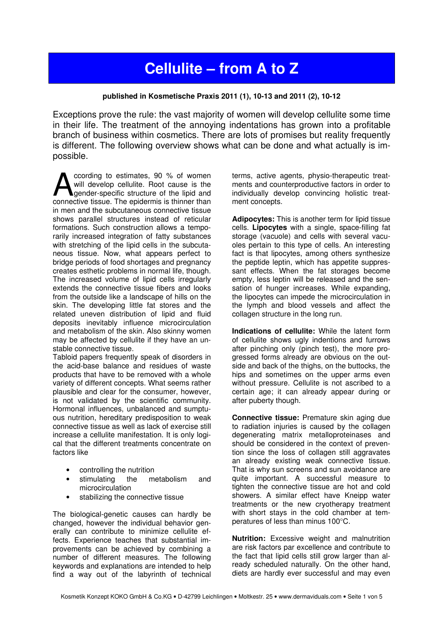## Cellulite – from A to Z

## published in Kosmetische Praxis 2011 (1), 10-13 and 2011 (2), 10-12

Exceptions prove the rule: the vast majority of women will develop cellulite some time in their life. The treatment of the annoying indentations has grown into a profitable branch of business within cosmetics. There are lots of promises but reality frequently is different. The following overview shows what can be done and what actually is impossible.

ccording to estimates, 90 % of women will develop cellulite. Root cause is the gender-specific structure of the lipid and coording to estimates, 90 % of women<br>will develop cellulite. Root cause is the<br>gender-specific structure of the lipid and<br>connective tissue. The epidermis is thinner than in men and the subcutaneous connective tissue shows parallel structures instead of reticular formations. Such construction allows a temporarily increased integration of fatty substances with stretching of the lipid cells in the subcutaneous tissue. Now, what appears perfect to bridge periods of food shortages and pregnancy creates esthetic problems in normal life, though. The increased volume of lipid cells irregularly extends the connective tissue fibers and looks from the outside like a landscape of hills on the skin. The developing little fat stores and the related uneven distribution of lipid and fluid deposits inevitably influence microcirculation and metabolism of the skin. Also skinny women may be affected by cellulite if they have an unstable connective tissue.

Tabloid papers frequently speak of disorders in the acid-base balance and residues of waste products that have to be removed with a whole variety of different concepts. What seems rather plausible and clear for the consumer, however, is not validated by the scientific community. Hormonal influences, unbalanced and sumptuous nutrition, hereditary predisposition to weak connective tissue as well as lack of exercise still increase a cellulite manifestation. It is only logical that the different treatments concentrate on factors like

- controlling the nutrition
- stimulating the metabolism and microcirculation
- stabilizing the connective tissue

The biological-genetic causes can hardly be changed, however the individual behavior generally can contribute to minimize cellulite effects. Experience teaches that substantial improvements can be achieved by combining a number of different measures. The following keywords and explanations are intended to help find a way out of the labyrinth of technical terms, active agents, physio-therapeutic treatments and counterproductive factors in order to individually develop convincing holistic treatment concepts.

Adipocytes: This is another term for lipid tissue cells. Lipocytes with a single, space-filling fat storage (vacuole) and cells with several vacuoles pertain to this type of cells. An interesting fact is that lipocytes, among others synthesize the peptide leptin, which has appetite suppressant effects. When the fat storages become empty, less leptin will be released and the sensation of hunger increases. While expanding, the lipocytes can impede the microcirculation in the lymph and blood vessels and affect the collagen structure in the long run.

Indications of cellulite: While the latent form of cellulite shows ugly indentions and furrows after pinching only (pinch test), the more progressed forms already are obvious on the outside and back of the thighs, on the buttocks, the hips and sometimes on the upper arms even without pressure. Cellulite is not ascribed to a certain age; it can already appear during or after puberty though.

Connective tissue: Premature skin aging due to radiation injuries is caused by the collagen degenerating matrix metalloproteinases and should be considered in the context of prevention since the loss of collagen still aggravates an already existing weak connective tissue. That is why sun screens and sun avoidance are quite important. A successful measure to tighten the connective tissue are hot and cold showers. A similar effect have Kneipp water treatments or the new cryotherapy treatment with short stays in the cold chamber at temperatures of less than minus 100°C.

Nutrition: Excessive weight and malnutrition are risk factors par excellence and contribute to the fact that lipid cells still grow larger than already scheduled naturally. On the other hand, diets are hardly ever successful and may even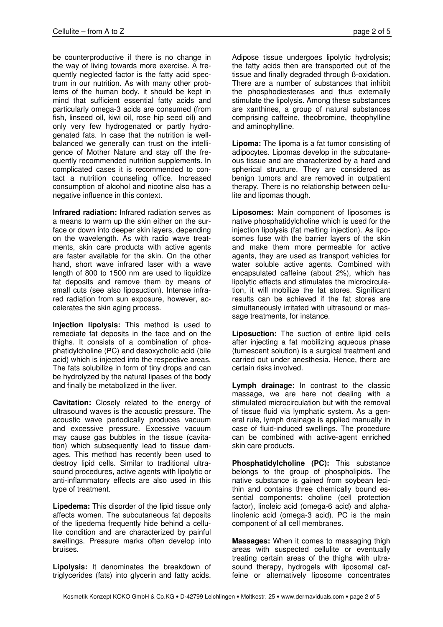be counterproductive if there is no change in the way of living towards more exercise. A frequently neglected factor is the fatty acid spectrum in our nutrition. As with many other problems of the human body, it should be kept in mind that sufficient essential fatty acids and particularly omega-3 acids are consumed (from fish, linseed oil, kiwi oil, rose hip seed oil) and only very few hydrogenated or partly hydrogenated fats. In case that the nutrition is wellbalanced we generally can trust on the intelligence of Mother Nature and stay off the frequently recommended nutrition supplements. In complicated cases it is recommended to contact a nutrition counseling office. Increased consumption of alcohol and nicotine also has a negative influence in this context.

Infrared radiation: Infrared radiation serves as a means to warm up the skin either on the surface or down into deeper skin layers, depending on the wavelength. As with radio wave treatments, skin care products with active agents are faster available for the skin. On the other hand, short wave infrared laser with a wave length of 800 to 1500 nm are used to liquidize fat deposits and remove them by means of small cuts (see also liposuction). Intense infrared radiation from sun exposure, however, accelerates the skin aging process.

Injection lipolysis: This method is used to remediate fat deposits in the face and on the thighs. It consists of a combination of phosphatidylcholine (PC) and desoxycholic acid (bile acid) which is injected into the respective areas. The fats solubilize in form of tiny drops and can be hydrolyzed by the natural lipases of the body and finally be metabolized in the liver.

Cavitation: Closely related to the energy of ultrasound waves is the acoustic pressure. The acoustic wave periodically produces vacuum and excessive pressure. Excessive vacuum may cause gas bubbles in the tissue (cavitation) which subsequently lead to tissue damages. This method has recently been used to destroy lipid cells. Similar to traditional ultrasound procedures, active agents with lipolytic or anti-inflammatory effects are also used in this type of treatment.

Lipedema: This disorder of the lipid tissue only affects women. The subcutaneous fat deposits of the lipedema frequently hide behind a cellulite condition and are characterized by painful swellings. Pressure marks often develop into bruises.

Lipolysis: It denominates the breakdown of triglycerides (fats) into glycerin and fatty acids. Adipose tissue undergoes lipolytic hydrolysis; the fatty acids then are transported out of the tissue and finally degraded through ß-oxidation. There are a number of substances that inhibit the phosphodiesterases and thus externally stimulate the lipolysis. Among these substances are xanthines, a group of natural substances comprising caffeine, theobromine, theophylline and aminophylline.

Lipoma: The lipoma is a fat tumor consisting of adipocytes. Lipomas develop in the subcutaneous tissue and are characterized by a hard and spherical structure. They are considered as benign tumors and are removed in outpatient therapy. There is no relationship between cellulite and lipomas though.

Liposomes: Main component of liposomes is native phosphatidylcholine which is used for the injection lipolysis (fat melting injection). As liposomes fuse with the barrier layers of the skin and make them more permeable for active agents, they are used as transport vehicles for water soluble active agents. Combined with encapsulated caffeine (about 2%), which has lipolytic effects and stimulates the microcirculation, it will mobilize the fat stores. Significant results can be achieved if the fat stores are simultaneously irritated with ultrasound or massage treatments, for instance.

Liposuction: The suction of entire lipid cells after injecting a fat mobilizing aqueous phase (tumescent solution) is a surgical treatment and carried out under anesthesia. Hence, there are certain risks involved.

Lymph drainage: In contrast to the classic massage, we are here not dealing with a stimulated microcirculation but with the removal of tissue fluid via lymphatic system. As a general rule, lymph drainage is applied manually in case of fluid-induced swellings. The procedure can be combined with active-agent enriched skin care products.

Phosphatidylcholine (PC): This substance belongs to the group of phospholipids. The native substance is gained from soybean lecithin and contains three chemically bound essential components: choline (cell protection factor), linoleic acid (omega-6 acid) and alphalinolenic acid (omega-3 acid). PC is the main component of all cell membranes.

Massages: When it comes to massaging thigh areas with suspected cellulite or eventually treating certain areas of the thighs with ultrasound therapy, hydrogels with liposomal caffeine or alternatively liposome concentrates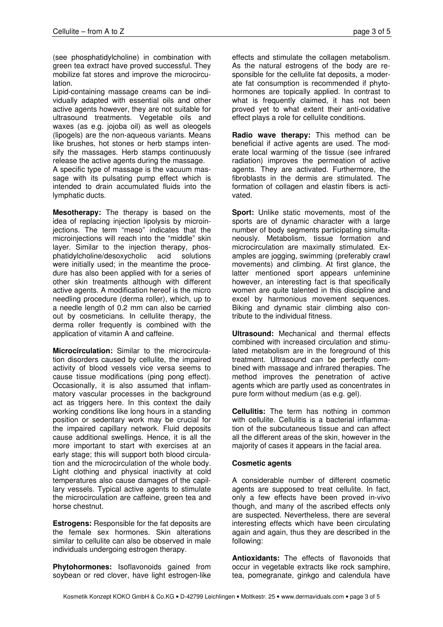(see phosphatidylcholine) in combination with green tea extract have proved successful. They mobilize fat stores and improve the microcirculation.

Lipid-containing massage creams can be individually adapted with essential oils and other active agents however, they are not suitable for ultrasound treatments. Vegetable oils and waxes (as e.g. jojoba oil) as well as oleogels (lipogels) are the non-aqueous variants. Means like brushes, hot stones or herb stamps intensify the massages. Herb stamps continuously release the active agents during the massage.

A specific type of massage is the vacuum massage with its pulsating pump effect which is intended to drain accumulated fluids into the lymphatic ducts.

Mesotherapy: The therapy is based on the idea of replacing injection lipolysis by microinjections. The term "meso" indicates that the microinjections will reach into the "middle" skin layer. Similar to the injection therapy, phosphatidylcholine/desoxycholic acid solutions were initially used; in the meantime the procedure has also been applied with for a series of other skin treatments although with different active agents. A modification hereof is the micro needling procedure (derma roller), which, up to a needle length of 0.2 mm can also be carried out by cosmeticians. In cellulite therapy, the derma roller frequently is combined with the application of vitamin A and caffeine.

Microcirculation: Similar to the microcirculation disorders caused by cellulite, the impaired activity of blood vessels vice versa seems to cause tissue modifications (ping pong effect). Occasionally, it is also assumed that inflammatory vascular processes in the background act as triggers here. In this context the daily working conditions like long hours in a standing position or sedentary work may be crucial for the impaired capillary network. Fluid deposits cause additional swellings. Hence, it is all the more important to start with exercises at an early stage; this will support both blood circulation and the microcirculation of the whole body. Light clothing and physical inactivity at cold temperatures also cause damages of the capillary vessels. Typical active agents to stimulate the microcirculation are caffeine, green tea and horse chestnut.

Estrogens: Responsible for the fat deposits are the female sex hormones. Skin alterations similar to cellulite can also be observed in male individuals undergoing estrogen therapy.

Phytohormones: Isoflavonoids gained from soybean or red clover, have light estrogen-like effects and stimulate the collagen metabolism. As the natural estrogens of the body are responsible for the cellulite fat deposits, a moderate fat consumption is recommended if phytohormones are topically applied. In contrast to what is frequently claimed, it has not been proved yet to what extent their anti-oxidative effect plays a role for cellulite conditions.

Radio wave therapy: This method can be beneficial if active agents are used. The moderate local warming of the tissue (see infrared radiation) improves the permeation of active agents. They are activated. Furthermore, the fibroblasts in the dermis are stimulated. The formation of collagen and elastin fibers is activated.

Sport: Unlike static movements, most of the sports are of dynamic character with a large number of body segments participating simultaneously. Metabolism, tissue formation and microcirculation are maximally stimulated. Examples are jogging, swimming (preferably crawl movements) and climbing. At first glance, the latter mentioned sport appears unfeminine however, an interesting fact is that specifically women are quite talented in this discipline and excel by harmonious movement sequences. Biking and dynamic stair climbing also contribute to the individual fitness.

Ultrasound: Mechanical and thermal effects combined with increased circulation and stimulated metabolism are in the foreground of this treatment. Ultrasound can be perfectly combined with massage and infrared therapies. The method improves the penetration of active agents which are partly used as concentrates in pure form without medium (as e.g. gel).

Cellulitis: The term has nothing in common with cellulite. Cellulitis is a bacterial inflammation of the subcutaneous tissue and can affect all the different areas of the skin, however in the majority of cases it appears in the facial area.

## Cosmetic agents

A considerable number of different cosmetic agents are supposed to treat cellulite. In fact, only a few effects have been proved in-vivo though, and many of the ascribed effects only are suspected. Nevertheless, there are several interesting effects which have been circulating again and again, thus they are described in the following:

Antioxidants: The effects of flavonoids that occur in vegetable extracts like rock samphire, tea, pomegranate, ginkgo and calendula have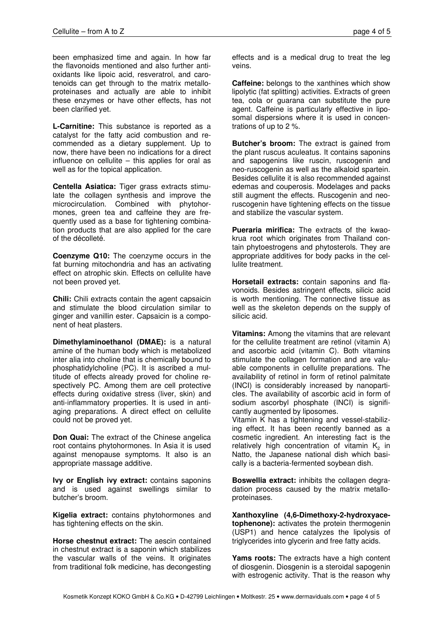been emphasized time and again. In how far the flavonoids mentioned and also further antioxidants like lipoic acid, resveratrol, and carotenoids can get through to the matrix metalloproteinases and actually are able to inhibit these enzymes or have other effects, has not been clarified yet.

L-Carnitine: This substance is reported as a catalyst for the fatty acid combustion and recommended as a dietary supplement. Up to now, there have been no indications for a direct influence on cellulite – this applies for oral as well as for the topical application.

Centella Asiatica: Tiger grass extracts stimulate the collagen synthesis and improve the microcirculation. Combined with phytohormones, green tea and caffeine they are frequently used as a base for tightening combination products that are also applied for the care of the décolleté.

Coenzyme Q10: The coenzyme occurs in the fat burning mitochondria and has an activating effect on atrophic skin. Effects on cellulite have not been proved yet.

Chili: Chili extracts contain the agent capsaicin and stimulate the blood circulation similar to ginger and vanillin ester. Capsaicin is a component of heat plasters.

Dimethylaminoethanol (DMAE): is a natural amine of the human body which is metabolized inter alia into choline that is chemically bound to phosphatidylcholine (PC). It is ascribed a multitude of effects already proved for choline respectively PC. Among them are cell protective effects during oxidative stress (liver, skin) and anti-inflammatory properties. It is used in antiaging preparations. A direct effect on cellulite could not be proved yet.

Don Quai: The extract of the Chinese angelica root contains phytohormones. In Asia it is used against menopause symptoms. It also is an appropriate massage additive.

Ivy or English ivy extract: contains saponins and is used against swellings similar to butcher's broom.

Kigelia extract: contains phytohormones and has tightening effects on the skin.

Horse chestnut extract: The aescin contained in chestnut extract is a saponin which stabilizes the vascular walls of the veins. It originates from traditional folk medicine, has decongesting effects and is a medical drug to treat the leg veins.

**Caffeine:** belongs to the xanthines which show lipolytic (fat splitting) activities. Extracts of green tea, cola or guarana can substitute the pure agent. Caffeine is particularly effective in liposomal dispersions where it is used in concentrations of up to 2 %.

Butcher's broom: The extract is gained from the plant ruscus aculeatus. It contains saponins and sapogenins like ruscin, ruscogenin and neo-ruscogenin as well as the alkaloid spartein. Besides cellulite it is also recommended against edemas and couperosis. Modelages and packs still augment the effects. Ruscogenin and neoruscogenin have tightening effects on the tissue and stabilize the vascular system.

Pueraria mirifica: The extracts of the kwaokrua root which originates from Thailand contain phytoestrogens and phytosterols. They are appropriate additives for body packs in the cellulite treatment.

Horsetail extracts: contain saponins and flavonoids. Besides astringent effects, silicic acid is worth mentioning. The connective tissue as well as the skeleton depends on the supply of silicic acid.

Vitamins: Among the vitamins that are relevant for the cellulite treatment are retinol (vitamin A) and ascorbic acid (vitamin C). Both vitamins stimulate the collagen formation and are valuable components in cellulite preparations. The availability of retinol in form of retinol palmitate (INCI) is considerably increased by nanoparticles. The availability of ascorbic acid in form of sodium ascorbyl phosphate (INCI) is significantly augmented by liposomes.

Vitamin K has a tightening and vessel-stabilizing effect. It has been recently banned as a cosmetic ingredient. An interesting fact is the relatively high concentration of vitamin  $K<sub>2</sub>$  in Natto, the Japanese national dish which basically is a bacteria-fermented soybean dish.

Boswellia extract: inhibits the collagen degradation process caused by the matrix metalloproteinases.

Xanthoxyline (4,6-Dimethoxy-2-hydroxyacetophenone): activates the protein thermogenin (USP1) and hence catalyzes the lipolysis of triglycerides into glycerin and free fatty acids.

Yams roots: The extracts have a high content of diosgenin. Diosgenin is a steroidal sapogenin with estrogenic activity. That is the reason why